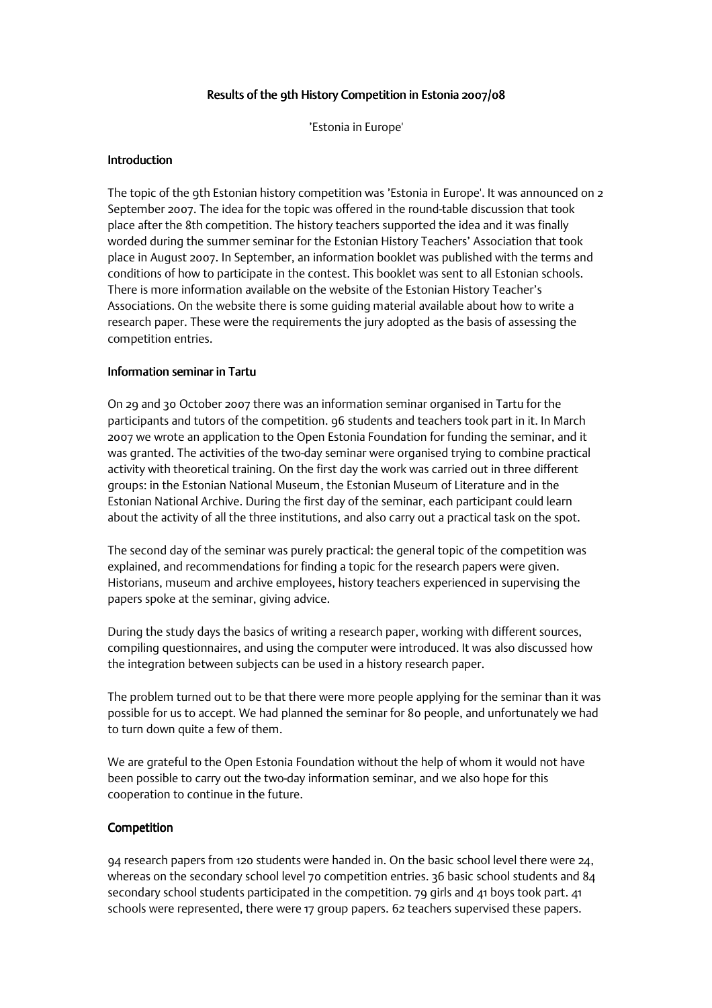# Results of the 9th History Competition in Estonia 2007/08

'Estonia in Europe'

### **Introduction**

The topic of the 9th Estonian history competition was 'Estonia in Europe'. It was announced on 2 September 2007. The idea for the topic was offered in the round-table discussion that took place after the 8th competition. The history teachers supported the idea and it was finally worded during the summer seminar for the Estonian History Teachers' Association that took place in August 2007. In September, an information booklet was published with the terms and conditions of how to participate in the contest. This booklet was sent to all Estonian schools. There is more information available on the website of the Estonian History Teacher's Associations. On the website there is some guiding material available about how to write a research paper. These were the requirements the jury adopted as the basis of assessing the competition entries.

#### Information seminar in Tartu

On 29 and 30 October 2007 there was an information seminar organised in Tartu for the participants and tutors of the competition. 96 students and teachers took part in it. In March 2007 we wrote an application to the Open Estonia Foundation for funding the seminar, and it was granted. The activities of the two-day seminar were organised trying to combine practical activity with theoretical training. On the first day the work was carried out in three different groups: in the Estonian National Museum, the Estonian Museum of Literature and in the Estonian National Archive. During the first day of the seminar, each participant could learn about the activity of all the three institutions, and also carry out a practical task on the spot.

The second day of the seminar was purely practical: the general topic of the competition was explained, and recommendations for finding a topic for the research papers were given. Historians, museum and archive employees, history teachers experienced in supervising the papers spoke at the seminar, giving advice.

During the study days the basics of writing a research paper, working with different sources, compiling questionnaires, and using the computer were introduced. It was also discussed how the integration between subjects can be used in a history research paper.

The problem turned out to be that there were more people applying for the seminar than it was possible for us to accept. We had planned the seminar for 80 people, and unfortunately we had to turn down quite a few of them.

We are grateful to the Open Estonia Foundation without the help of whom it would not have been possible to carry out the two-day information seminar, and we also hope for this cooperation to continue in the future.

## Competition

94 research papers from 120 students were handed in. On the basic school level there were 24, whereas on the secondary school level 70 competition entries. 36 basic school students and 84 secondary school students participated in the competition. 79 girls and 41 boys took part. 41 schools were represented, there were 17 group papers. 62 teachers supervised these papers.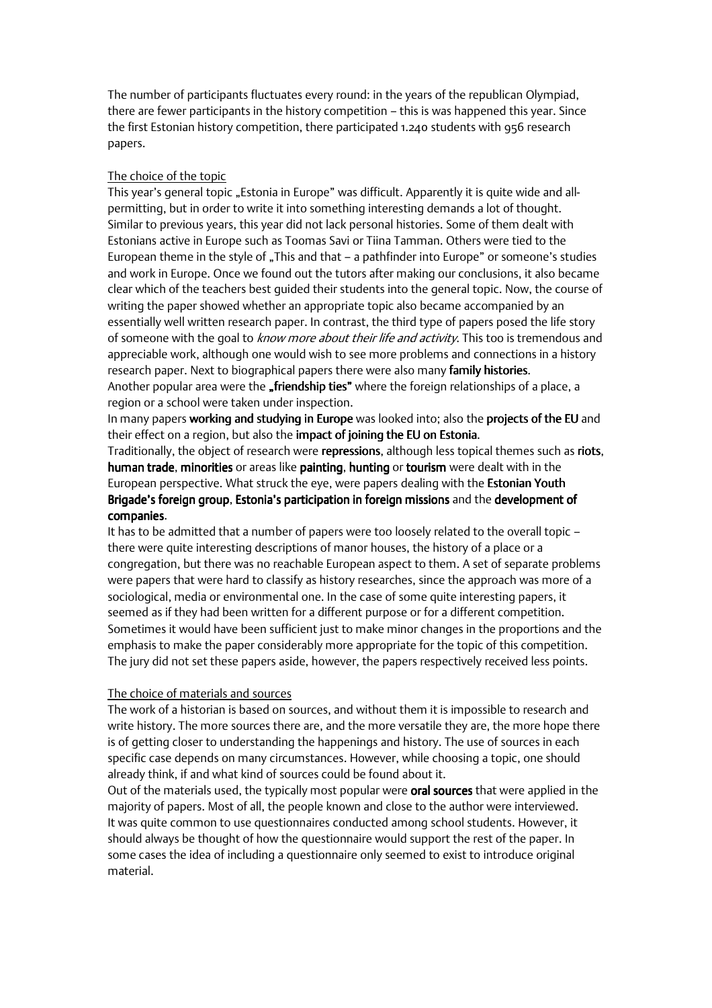The number of participants fluctuates every round: in the years of the republican Olympiad, there are fewer participants in the history competition – this is was happened this year. Since the first Estonian history competition, there participated 1.240 students with 956 research papers.

## The choice of the topic

This year's general topic "Estonia in Europe" was difficult. Apparently it is quite wide and allpermitting, but in order to write it into something interesting demands a lot of thought. Similar to previous years, this year did not lack personal histories. Some of them dealt with Estonians active in Europe such as Toomas Savi or Tiina Tamman. Others were tied to the European theme in the style of "This and that – a pathfinder into Europe" or someone's studies and work in Europe. Once we found out the tutors after making our conclusions, it also became clear which of the teachers best guided their students into the general topic. Now, the course of writing the paper showed whether an appropriate topic also became accompanied by an essentially well written research paper. In contrast, the third type of papers posed the life story of someone with the goal to know more about their life and activity. This too is tremendous and appreciable work, although one would wish to see more problems and connections in a history research paper. Next to biographical papers there were also many family histories. Another popular area were the **"friendship ties"** where the foreign relationships of a place, a region or a school were taken under inspection.

In many papers working and studying in Europe was looked into; also the projects of the EU and their effect on a region, but also the impact of joining the EU on Estonia.

Traditionally, the object of research were repressions, although less topical themes such as riots, human trade, minorities or areas like painting, hunting or tourism were dealt with in the European perspective. What struck the eye, were papers dealing with the **Estonian Youth** Brigade's foreign group, Estonia's participation in foreign missions and the development of companies.

It has to be admitted that a number of papers were too loosely related to the overall topic – there were quite interesting descriptions of manor houses, the history of a place or a congregation, but there was no reachable European aspect to them. A set of separate problems were papers that were hard to classify as history researches, since the approach was more of a sociological, media or environmental one. In the case of some quite interesting papers, it seemed as if they had been written for a different purpose or for a different competition. Sometimes it would have been sufficient just to make minor changes in the proportions and the emphasis to make the paper considerably more appropriate for the topic of this competition. The jury did not set these papers aside, however, the papers respectively received less points.

#### The choice of materials and sources

The work of a historian is based on sources, and without them it is impossible to research and write history. The more sources there are, and the more versatile they are, the more hope there is of getting closer to understanding the happenings and history. The use of sources in each specific case depends on many circumstances. However, while choosing a topic, one should already think, if and what kind of sources could be found about it.

Out of the materials used, the typically most popular were oral sources that were applied in the majority of papers. Most of all, the people known and close to the author were interviewed. It was quite common to use questionnaires conducted among school students. However, it should always be thought of how the questionnaire would support the rest of the paper. In some cases the idea of including a questionnaire only seemed to exist to introduce original material.